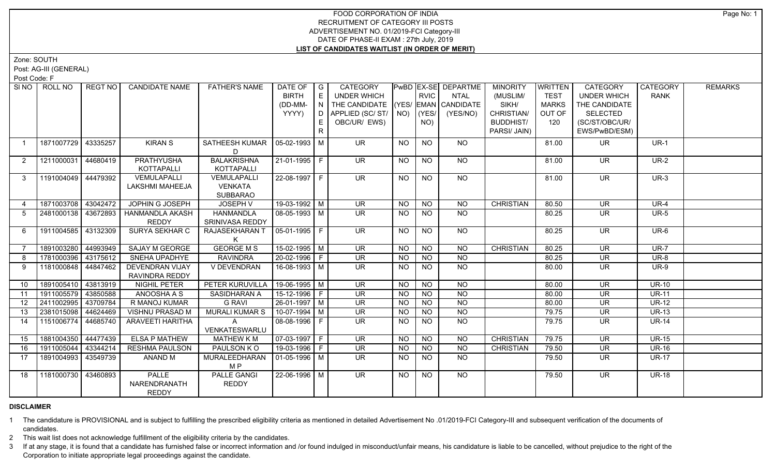Zone: SOUTH

Post: AG-III (GENERAL)

Post Code: F

| SI NO          | ROLL NO             | REGT NO  | <b>CANDIDATE NAME</b>  | <b>FATHER'S NAME</b>  | DATE OF $ G $          |    | CATEGORY                           |           |             | PwBD EX-SE DEPARTME | <b>MINORITY</b>  | WRITTEN      | CATEGORY                 | <b>CATEGORY</b> | <b>REMARKS</b> |
|----------------|---------------------|----------|------------------------|-----------------------|------------------------|----|------------------------------------|-----------|-------------|---------------------|------------------|--------------|--------------------------|-----------------|----------------|
|                |                     |          |                        |                       | <b>BIRTH</b>           | E  | UNDER WHICH                        |           | <b>RVIC</b> | <b>NTAL</b>         | (MUSLIM/         | <b>TEST</b>  | <b>UNDER WHICH</b>       | <b>RANK</b>     |                |
|                |                     |          |                        |                       | (DD-MM-                | N  | THE CANDIDATE (YES/ EMAN CANDIDATE |           |             |                     | SIKH/            | <b>MARKS</b> | THE CANDIDATE            |                 |                |
|                |                     |          |                        |                       | YYYY)                  | D  | APPLIED (SC/ST/ NO)                |           | (YES/       | (YES/NO)            | CHRISTIAN/       | OUT OF       | <b>SELECTED</b>          |                 |                |
|                |                     |          |                        |                       |                        | E. | OBC/UR/ EWS)                       |           | NO)         |                     | <b>BUDDHIST/</b> | 120          | (SC/ST/OBC/UR/           |                 |                |
|                |                     |          |                        |                       |                        | R. |                                    |           |             |                     | PARSI/ JAIN)     |              | EWS/PwBD/ESM)            |                 |                |
|                | 1871007729 43335257 |          | <b>KIRAN S</b>         | SATHEESH KUMAR        | $ 05-02-1993 M$        |    | <b>UR</b>                          | NO        | <b>NO</b>   | NO                  |                  | 81.00        | UR.                      | $UR-1$          |                |
|                |                     |          |                        | D                     |                        |    |                                    |           |             |                     |                  |              |                          |                 |                |
| 2              | 1211000031 44680419 |          | PRATHYUSHA             | <b>BALAKRISHNA</b>    | 21-01-1995 F           |    | UR.                                | NO        | <b>NO</b>   | NO                  |                  | 81.00        | UR.                      | <b>UR-2</b>     |                |
|                |                     |          | KOTTAPALLI             | KOTTAPALLI            |                        |    |                                    |           |             |                     |                  |              |                          |                 |                |
| $\mathbf{3}$   | 1191004049 44479392 |          | VEMULAPALLI            | VEMULAPALLI           | 22-08-1997 F           |    | $\overline{\mathsf{UR}}$           | <b>NO</b> | <b>NO</b>   | $\overline{NO}$     |                  | 81.00        | $\overline{\mathsf{UR}}$ | $UR-3$          |                |
|                |                     |          | LAKSHMI MAHEEJA        | <b>VENKATA</b>        |                        |    |                                    |           |             |                     |                  |              |                          |                 |                |
|                |                     |          |                        | SUBBARAO              |                        |    |                                    |           |             |                     |                  |              |                          |                 |                |
| $\overline{4}$ | 1871003708 43042472 |          | JOPHIN G JOSEPH        | <b>JOSEPH V</b>       | 19-03-1992 M           |    | <b>UR</b>                          | <b>NO</b> | <b>NO</b>   | <b>NO</b>           | <b>CHRISTIAN</b> | 80.50        | <b>UR</b>                | <b>UR-4</b>     |                |
| -5             | 2481000138 43672893 |          | <b>HANMANDLA AKASH</b> | <b>HANMANDLA</b>      | 08-05-1993 M           |    | <b>UR</b>                          | <b>NO</b> | <b>NO</b>   | <b>NO</b>           |                  | 80.25        | <b>UR</b>                | <b>UR-5</b>     |                |
|                |                     |          | <b>REDDY</b>           | SRINIVASA REDDY       |                        |    |                                    |           |             |                     |                  |              |                          |                 |                |
| 6              | 1911004585 43132309 |          | SURYA SEKHAR C         | RAJASEKHARAN T        | 05-01-1995   F         |    | $\overline{\mathsf{UR}}$           | <b>NO</b> | <b>NO</b>   | NO                  |                  | 80.25        | $\overline{\mathsf{UR}}$ | UR-6            |                |
|                |                     |          |                        |                       |                        |    |                                    |           |             |                     |                  |              |                          |                 |                |
|                | 1891003280 44993949 |          | SAJAY M GEORGE         | <b>GEORGE M S</b>     | $15 - 02 - 1995$ M     |    | UR.                                | <b>NO</b> | <b>NO</b>   | <b>NO</b>           | <b>CHRISTIAN</b> | 80.25        | <b>UR</b>                | <b>UR-7</b>     |                |
| 8              | 1781000396 43175612 |          | SNEHA UPADHYE          | <b>RAVINDRA</b>       | $20 - 02 - 1996$ F     |    | <b>UR</b>                          | <b>NO</b> | <b>NO</b>   | <b>NO</b>           |                  | 80.25        | <b>UR</b>                | $UR-8$          |                |
| 9              | 1181000848 44847462 |          | DEVENDRAN VIJAY        | V DEVENDRAN           | $16-08-1993$ M         |    | <b>UR</b>                          | <b>NO</b> | NO.         | <b>NO</b>           |                  | 80.00        | <b>UR</b>                | $UR-9$          |                |
|                |                     |          | RAVINDRA REDDY         |                       |                        |    |                                    |           |             |                     |                  |              |                          |                 |                |
| 10             | 1891005410 43813919 |          | <b>NIGHIL PETER</b>    | PETER KURUVILLA       | $19-06-1995$ M         |    | $\overline{\mathsf{UR}}$           | <b>NO</b> | <b>NO</b>   | $N$ O               |                  | 80.00        | $\overline{\mathsf{UR}}$ | $UR-10$         |                |
| 11             | 1911005579 43850588 |          | ANOOSHA A S            | SASIDHARAN A          | $15-12-1996$ F         |    | $\overline{\mathsf{UR}}$           | <b>NO</b> | <b>NO</b>   | $N$ O               |                  | 80.00        | $\overline{\mathsf{UR}}$ | $UR-11$         |                |
| 12             | 2411002995 43709784 |          | R MANOJ KUMAR          | <b>G RAVI</b>         | $26 - 01 - 1997$ M     |    | $\overline{\mathsf{UR}}$           | <b>NO</b> | <b>NO</b>   | $N$ <sup>O</sup>    |                  | 80.00        | $\overline{\mathsf{UR}}$ | $UR-12$         |                |
| 13             | 2381015098 44624469 |          | <b>VISHNU PRASAD M</b> | <b>MURALI KUMAR S</b> | $10-07-1994$ M         |    | $\overline{\mathsf{UR}}$           | <b>NO</b> | <b>NO</b>   | $N$ <sup>O</sup>    |                  | 79.75        | $\overline{\mathsf{UR}}$ | $UR-13$         |                |
| 14             | 1151006774 44685740 |          | ARAVEETI HARITHA       | $\mathsf{A}$          | $\boxed{08-08-1996}$ F |    | $\overline{\mathsf{UR}}$           | NO.       | <b>NO</b>   | NO                  |                  | 79.75        | $\overline{\mathsf{UR}}$ | <b>UR-14</b>    |                |
|                |                     |          |                        | VENKATESWARLU         |                        |    |                                    |           |             |                     |                  |              |                          |                 |                |
| 15             | 1881004350 44477439 |          | <b>ELSA P MATHEW</b>   | <b>MATHEW K M</b>     | 07-03-1997   F         |    | UR.                                | <b>NO</b> | <b>NO</b>   | <b>NO</b>           | <b>CHRISTIAN</b> | 79.75        | <b>UR</b>                | <b>UR-15</b>    |                |
| 16             | 1911005044 43344214 |          | <b>RESHMA PAULSON</b>  | PAULSON KO            | $19-03-1996$ F         |    | $\overline{\mathsf{UR}}$           | <b>NO</b> | NO          | N <sub>O</sub>      | <b>CHRISTIAN</b> | 79.50        | <b>UR</b>                | <b>UR-16</b>    |                |
| 17             | 1891004993          | 43549739 | ANAND M                | MURALEEDHARAN         | $ 01-05-1996 M$        |    | $\overline{\mathsf{UR}}$           | <b>NO</b> | <b>NO</b>   | NO                  |                  | 79.50        | UR.                      | <b>UR-17</b>    |                |
|                |                     |          |                        | M P                   |                        |    |                                    |           |             |                     |                  |              |                          |                 |                |
| 18             | 1181000730 43460893 |          | PALLE                  | PALLE GANGI           | 22-06-1996 M           |    | <b>UR</b>                          | NO.       | NO          | <b>NO</b>           |                  | 79.50        | <b>UR</b>                | <b>UR-18</b>    |                |
|                |                     |          | NARENDRANATH           | <b>REDDY</b>          |                        |    |                                    |           |             |                     |                  |              |                          |                 |                |
|                |                     |          | <b>REDDY</b>           |                       |                        |    |                                    |           |             |                     |                  |              |                          |                 |                |

# **DISCLAIMER**

1 The candidature is PROVISIONAL and is subject to fulfilling the prescribed eligibility criteria as mentioned in detailed Advertisement No .01/2019-FCI Category-III and subsequent verification of the documents of candidates.

2 This wait list does not acknowledge fulfillment of the eligibility criteria by the candidates.

3 If at any stage, it is found that a candidate has furnished false or incorrect information and /or found indulged in misconduct/unfair means, his candidature is liable to be cancelled, without prejudice to the right of t Corporation to initiate appropriate legal proceedings against the candidate.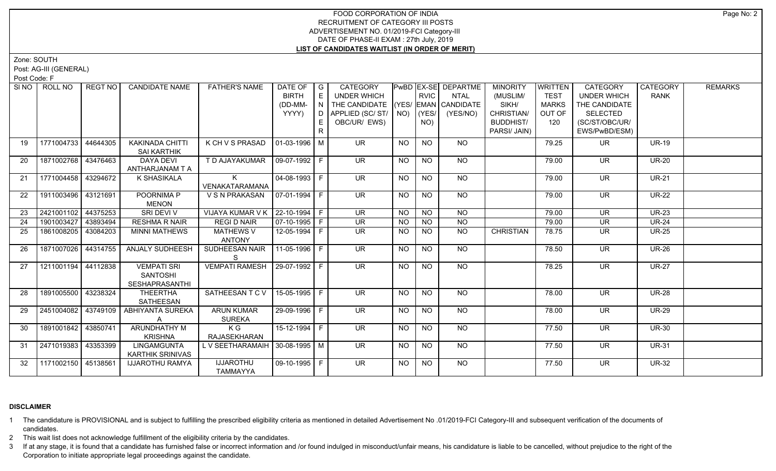Zone: SOUTH

Post: AG-III (GENERAL)

Post Code: F

| SI NO I | ROLL NO             | REGT NO I | <b>CANDIDATE NAME</b>   | <b>FATHER'S NAME</b>              | DATE OF        | $\overline{\phantom{a}}$ G | CATEGORY                           |           |                 | PwBD EX-SE DEPARTME | <b>MINORITY</b>  | <b>WRITTEN</b> | <b>CATEGORY</b>          | CATEGORY     | <b>REMARKS</b> |
|---------|---------------------|-----------|-------------------------|-----------------------------------|----------------|----------------------------|------------------------------------|-----------|-----------------|---------------------|------------------|----------------|--------------------------|--------------|----------------|
|         |                     |           |                         |                                   | <b>BIRTH</b>   | E                          | <b>UNDER WHICH</b>                 |           | <b>RVIC</b>     | <b>NTAL</b>         | (MUSLIM/         | <b>TEST</b>    | <b>UNDER WHICH</b>       | <b>RANK</b>  |                |
|         |                     |           |                         |                                   | (DD-MM-        | N.                         | THE CANDIDATE (YES/ EMAN CANDIDATE |           |                 |                     | SIKH/            | <b>MARKS</b>   | THE CANDIDATE            |              |                |
|         |                     |           |                         |                                   | YYYY)          | D                          | APPLIED (SC/ST/                    |           | $NO)$ (YES/     | (YES/NO)            | CHRISTIAN/       | OUT OF         | SELECTED                 |              |                |
|         |                     |           |                         |                                   |                | E.                         | OBC/UR/ EWS)                       |           | NO)             |                     | <b>BUDDHIST/</b> | 120            | (SC/ST/OBC/UR/           |              |                |
|         |                     |           |                         |                                   |                | R                          |                                    |           |                 |                     | PARSI/ JAIN)     |                | EWS/PwBD/ESM)            |              |                |
|         |                     |           |                         |                                   |                |                            |                                    |           |                 |                     |                  |                |                          |              |                |
| 19      | 1771004733          | 44644305  | <b>KAKINADA CHITTI</b>  | K CH V S PRASAD                   | $01-03-1996$ M |                            | <b>UR</b>                          | <b>NO</b> | <b>NO</b>       | <b>NO</b>           |                  | 79.25          | <b>UR</b>                | <b>UR-19</b> |                |
|         |                     |           | <b>SAI KARTHIK</b>      |                                   |                |                            |                                    |           |                 |                     |                  |                |                          |              |                |
| 20      | 1871002768          | 43476463  | <b>DAYA DEVI</b>        | T D AJAYAKUMAR                    | 09-07-1992 F   |                            | <b>UR</b>                          | <b>NO</b> | <b>NO</b>       | <b>NO</b>           |                  | 79.00          | <b>UR</b>                | <b>UR-20</b> |                |
|         |                     |           | ANTHARJANAM T A         |                                   |                |                            |                                    |           |                 |                     |                  |                |                          |              |                |
| 21      | 1771004458 43294672 |           | K SHASIKALA             | K                                 | $04-08-1993$ F |                            | $\overline{\mathsf{UR}}$           | <b>NO</b> | $\overline{NQ}$ | $N$ <sup>O</sup>    |                  | 79.00          | $\overline{\mathsf{UR}}$ | <b>UR-21</b> |                |
|         |                     |           |                         | VENAKATARAMANA                    |                |                            |                                    |           |                 |                     |                  |                |                          |              |                |
| 22      | 1911003496 43121691 |           | POORNIMA P              | VSNPRAKASAN 07-01-1994 F          |                |                            | $\overline{\mathsf{UR}}$           | NO.       | <b>NO</b>       | $N$ <sup>O</sup>    |                  | 79.00          | <b>UR</b>                | $UR-22$      |                |
|         |                     |           | <b>MENON</b>            |                                   |                |                            |                                    |           |                 |                     |                  |                |                          |              |                |
| 23      | 2421001102 44375253 |           | <b>SRI DEVI V</b>       | VIJAYA KUMAR V K   22-10-1994   F |                |                            | $\overline{\mathsf{UR}}$           | <b>NO</b> | N <sub>O</sub>  | N <sub>O</sub>      |                  | 79.00          | $\overline{\mathsf{UR}}$ | <b>UR-23</b> |                |
| 24      | 1901003427          | 43893494  | <b>RESHMA R NAIR</b>    | <b>REGI D NAIR</b>                | $07-10-1995$ F |                            | <b>UR</b>                          | <b>NO</b> | <b>NO</b>       | $N$ O               |                  | 79.00          | <b>UR</b>                | <b>UR-24</b> |                |
| 25      | 1861008205 43084203 |           | <b>MINNI MATHEWS</b>    | <b>MATHEWS V</b>                  | 12-05-1994 F   |                            | <b>UR</b>                          | <b>NO</b> | <b>NO</b>       | <b>NO</b>           | <b>CHRISTIAN</b> | 78.75          | <b>UR</b>                | <b>UR-25</b> |                |
|         |                     |           |                         | <b>ANTONY</b>                     |                |                            |                                    |           |                 |                     |                  |                |                          |              |                |
| 26      | 1871007026 44314755 |           | <b>ANJALY SUDHEESH</b>  | SUDHEESAN NAIR                    | 11-05-1996 F   |                            | <b>UR</b>                          | <b>NO</b> | <b>NO</b>       | NO                  |                  | 78.50          | <b>UR</b>                | <b>UR-26</b> |                |
|         |                     |           |                         | -S                                |                |                            |                                    |           |                 |                     |                  |                |                          |              |                |
| 27      | 1211001194 44112838 |           | <b>VEMPATI SRI</b>      | <b>VEMPATI RAMESH</b>             | 29-07-1992 F   |                            | <b>UR</b>                          | <b>NO</b> | <b>NO</b>       | <b>NO</b>           |                  | 78.25          | <b>UR</b>                | <b>UR-27</b> |                |
|         |                     |           | SANTOSHI                |                                   |                |                            |                                    |           |                 |                     |                  |                |                          |              |                |
|         |                     |           | <b>SESHAPRASANTHI</b>   |                                   |                |                            |                                    |           |                 |                     |                  |                |                          |              |                |
| 28      | 1891005500 43238324 |           | <b>THEERTHA</b>         | SATHEESAN T C V                   | 15-05-1995 F   |                            | UR.                                | <b>NO</b> | N <sub>O</sub>  | NO.                 |                  | 78.00          | <b>UR</b>                | <b>UR-28</b> |                |
|         |                     |           | SATHEESAN               |                                   |                |                            |                                    |           |                 |                     |                  |                |                          |              |                |
| 29      | 2451004082 43749109 |           | ABHIYANTA SUREKA        | <b>ARUN KUMAR</b>                 | 29-09-1996 F   |                            | <b>UR</b>                          | <b>NO</b> | <b>NO</b>       | <b>NO</b>           |                  | 78.00          | <b>UR</b>                | <b>UR-29</b> |                |
|         |                     |           |                         |                                   |                |                            |                                    |           |                 |                     |                  |                |                          |              |                |
|         | 1891001842 43850741 |           |                         | <b>SUREKA</b><br>K G              | 15-12-1994 F   |                            | UR.                                | NO        | <b>NO</b>       | NO.                 |                  |                | UR.                      | <b>UR-30</b> |                |
| 30      |                     |           | ARUNDHATHY M            |                                   |                |                            |                                    |           |                 |                     |                  | 77.50          |                          |              |                |
|         |                     |           | <b>KRISHNA</b>          | RAJASEKHARAN                      |                |                            |                                    |           |                 |                     |                  |                |                          |              |                |
| 31      | 2471019383 43353399 |           | <b>LINGAMGUNTA</b>      | L V SEETHARAMAIH   30-08-1995   M |                |                            | $\overline{\mathsf{UR}}$           | NO        | <b>NO</b>       | NO                  |                  | 77.50          | <b>UR</b>                | <b>UR-31</b> |                |
|         |                     |           | <b>KARTHIK SRINIVAS</b> |                                   |                |                            |                                    |           |                 |                     |                  |                |                          |              |                |
| 32      | 1171002150 45138561 |           | <b>IJJAROTHU RAMYA</b>  | <b>IJJAROTHU</b>                  | 09-10-1995 F   |                            | UR.                                | NO        | <b>NO</b>       | NO.                 |                  | 77.50          | UR.                      | <b>UR-32</b> |                |
|         |                     |           |                         | TAMMAYYA                          |                |                            |                                    |           |                 |                     |                  |                |                          |              |                |

## **DISCLAIMER**

1 The candidature is PROVISIONAL and is subject to fulfilling the prescribed eligibility criteria as mentioned in detailed Advertisement No .01/2019-FCI Category-III and subsequent verification of the documents of candidates.

2 This wait list does not acknowledge fulfillment of the eligibility criteria by the candidates.

3 If at any stage, it is found that a candidate has furnished false or incorrect information and /or found indulged in misconduct/unfair means, his candidature is liable to be cancelled, without prejudice to the right of t Corporation to initiate appropriate legal proceedings against the candidate.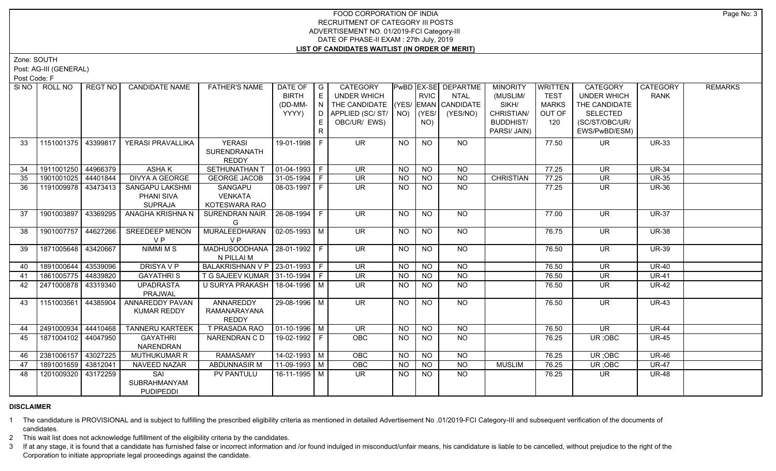Zone: SOUTH

Post: AG-III (GENERAL)

Post Code: F

| SI NO I | ROLL NO             | REGT NO  | <b>CANDIDATE NAME</b>                           | <b>FATHER'S NAME</b>                          | DATE OF<br><b>BIRTH</b><br>(DD-MM-<br>YYYY) | $\overline{\phantom{a}}$ $\overline{\phantom{a}}$<br>E<br>IN<br>D.<br>E.<br>R | CATEGORY<br>UNDER WHICH<br>THE CANDIDATE (YES/ EMAN CANDIDATE<br>APPLIED (SC/ST/<br>OBC/UR/ EWS) | NO)       | RVIC<br>YES/<br>NO) | PwBD EX-SE DEPARTME<br><b>NTAL</b><br>(YES/NO) | <b>MINORITY</b><br>(MUSLIM/<br>SIKH/<br>CHRISTIAN/<br><b>BUDDHIST/</b><br>PARSI/ JAIN) | <b>WRITTEN</b><br><b>TEST</b><br><b>MARKS</b><br>OUT OF<br>120 | CATEGORY<br><b>UNDER WHICH</b><br>THE CANDIDATE<br><b>SELECTED</b><br>(SC/ST/OBC/UR/<br>EWS/PwBD/ESM) | CATEGORY<br><b>RANK</b> | <b>REMARKS</b> |
|---------|---------------------|----------|-------------------------------------------------|-----------------------------------------------|---------------------------------------------|-------------------------------------------------------------------------------|--------------------------------------------------------------------------------------------------|-----------|---------------------|------------------------------------------------|----------------------------------------------------------------------------------------|----------------------------------------------------------------|-------------------------------------------------------------------------------------------------------|-------------------------|----------------|
| 33      | 1151001375 43399817 |          | YERASI PRAVALLIKA                               | <b>YERASI</b><br>SURENDRANATH<br><b>REDDY</b> | 19-01-1998 F                                |                                                                               | <b>UR</b>                                                                                        | <b>NO</b> | <b>NO</b>           | <b>NO</b>                                      |                                                                                        | 77.50                                                          | <b>UR</b>                                                                                             | <b>UR-33</b>            |                |
| 34      | 1911001250 44966379 |          | <b>ASHAK</b>                                    | <b>SETHUNATHAN T</b>                          | $\boxed{01-04-1993}$ F                      |                                                                               | <b>UR</b>                                                                                        | NO        | $N$ O               | <b>NO</b>                                      |                                                                                        | 77.25                                                          | <b>UR</b>                                                                                             | <b>UR-34</b>            |                |
| 35      | 1901001025 44401844 |          | <b>DIVYA A GEORGE</b>                           | <b>GEORGE JACOB</b>                           | $31-05-1994$ F                              |                                                                               | $\overline{\mathsf{UR}}$                                                                         | <b>NO</b> | <b>NO</b>           | $N$ O                                          | <b>CHRISTIAN</b>                                                                       | 77.25                                                          | <b>UR</b>                                                                                             | <b>UR-35</b>            |                |
| 36      | 1191009978 43473413 |          | SANGAPU LAKSHMI<br>PHANI SIVA<br><b>SUPRAJA</b> | SANGAPU<br><b>VENKATA</b><br>KOTESWARA RAO    | 08-03-1997 F                                |                                                                               | $\overline{\mathsf{UR}}$                                                                         | NO.       | <b>NO</b>           | N <sub>O</sub>                                 |                                                                                        | 77.25                                                          | <b>UR</b>                                                                                             | <b>UR-36</b>            |                |
| 37      | 1901003897          | 43369295 | ANAGHA KRISHNA N                                | SURENDRAN NAIR<br>G                           | $ 26-08-1994 F$                             |                                                                               | UR.                                                                                              | <b>NO</b> | <b>NO</b>           | NO.                                            |                                                                                        | 77.00                                                          | <b>UR</b>                                                                                             | <b>UR-37</b>            |                |
| 38      | 1901007757          | 44627266 | <b>SREEDEEP MENON</b><br>VP                     | MURALEEDHARAN<br>V <sub>P</sub>               | $02-05-1993$ M                              |                                                                               | <b>UR</b>                                                                                        | <b>NO</b> | N <sub>O</sub>      | NO                                             |                                                                                        | 76.75                                                          | UR.                                                                                                   | <b>UR-38</b>            |                |
| 39      | 1871005648 43420667 |          | <b>NIMMI M S</b>                                | MADHUSOODHANA   28-01-1992   F<br>N PILLAI M  |                                             |                                                                               | $\overline{\mathsf{UR}}$                                                                         | NO        | <b>NO</b>           | NO                                             |                                                                                        | 76.50                                                          | <b>UR</b>                                                                                             | <b>UR-39</b>            |                |
| 40      | 1891000644 43539096 |          | <b>DRISYAVP</b>                                 | BALAKRISHNAN V P   23-01-1993   F             |                                             |                                                                               | UR.                                                                                              | <b>NO</b> | <b>NO</b>           | <b>NO</b>                                      |                                                                                        | 76.50                                                          | <b>UR</b>                                                                                             | <b>UR-40</b>            |                |
| 41      | 1861005775 44839820 |          | <b>GAYATHRIS</b>                                | T G SAJEEV KUMAR 31-10-1994   F               |                                             |                                                                               | <b>UR</b>                                                                                        | <b>NO</b> | <b>NO</b>           | N <sub>O</sub>                                 |                                                                                        | 76.50                                                          | <b>UR</b>                                                                                             | $UR-41$                 |                |
| 42      | 2471000878          | 43319340 | <b>UPADRASTA</b><br>PRAJWAL                     | U SURYA PRAKASH   18-04-1996   M              |                                             |                                                                               | UR.                                                                                              | <b>NO</b> | NO                  | <b>NO</b>                                      |                                                                                        | 76.50                                                          | <b>UR</b>                                                                                             | <b>UR-42</b>            |                |
| 43      | 1151003561          | 44385904 | <b>ANNAREDDY PAVAN</b><br><b>KUMAR REDDY</b>    | ANNAREDDY<br>RAMANARAYANA<br><b>REDDY</b>     | 29-08-1996 M                                |                                                                               | $\overline{\mathsf{UR}}$                                                                         | NO.       | <b>NO</b>           | $N$ <sup>O</sup>                               |                                                                                        | 76.50                                                          | <b>UR</b>                                                                                             | <b>UR-43</b>            |                |
| 44      | 2491000934          | 44410468 | <b>TANNERU KARTEEK</b>                          | T PRASADA RAO                                 | $\sqrt{01-10-1996}$ M                       |                                                                               | <b>UR</b>                                                                                        | <b>NO</b> | <b>NO</b>           | $\overline{NQ}$                                |                                                                                        | 76.50                                                          | <b>UR</b>                                                                                             | <b>UR-44</b>            |                |
| 45      | 1871004102 44047950 |          | <b>GAYATHRI</b><br>NARENDRAN                    | NARENDRAN C D                                 | 19-02-1992 F                                |                                                                               | <b>OBC</b>                                                                                       | <b>NO</b> | <b>NO</b>           | <b>NO</b>                                      |                                                                                        | 76.25                                                          | UR; OBC                                                                                               | <b>UR-45</b>            |                |
| 46      | 2381006157 43027225 |          | MUTHUKUMAR R                                    | <b>RAMASAMY</b>                               | 14-02-1993   M                              |                                                                               | OBC                                                                                              | NO.       | <b>NO</b>           | <b>NO</b>                                      |                                                                                        | 76.25                                                          | UR; OBC                                                                                               | <b>UR-46</b>            |                |
| 47      | 1891001659 43812041 |          | <b>NAVEED NAZAR</b>                             | <b>ABDUNNASIR M</b>                           | $11-09-1993$ M                              |                                                                               | <b>OBC</b>                                                                                       | <b>NO</b> | <b>NO</b>           | $\overline{NO}$                                | <b>MUSLIM</b>                                                                          | 76.25                                                          | UR; OBC                                                                                               | <b>UR-47</b>            |                |
| -48     | 1201009320          | 43172259 | SAI<br>SUBRAHMANYAM<br><b>PUDIPEDDI</b>         | PV PANTULU                                    | 16-11-1995   M                              |                                                                               | UR.                                                                                              | NO.       | <b>NO</b>           | <b>NO</b>                                      |                                                                                        | 76.25                                                          | UR.                                                                                                   | <b>UR-48</b>            |                |

## **DISCLAIMER**

1 The candidature is PROVISIONAL and is subject to fulfilling the prescribed eligibility criteria as mentioned in detailed Advertisement No .01/2019-FCI Category-III and subsequent verification of the documents of candidates.

2 This wait list does not acknowledge fulfillment of the eligibility criteria by the candidates.

3 If at any stage, it is found that a candidate has furnished false or incorrect information and /or found indulged in misconduct/unfair means, his candidature is liable to be cancelled, without prejudice to the right of t Corporation to initiate appropriate legal proceedings against the candidate.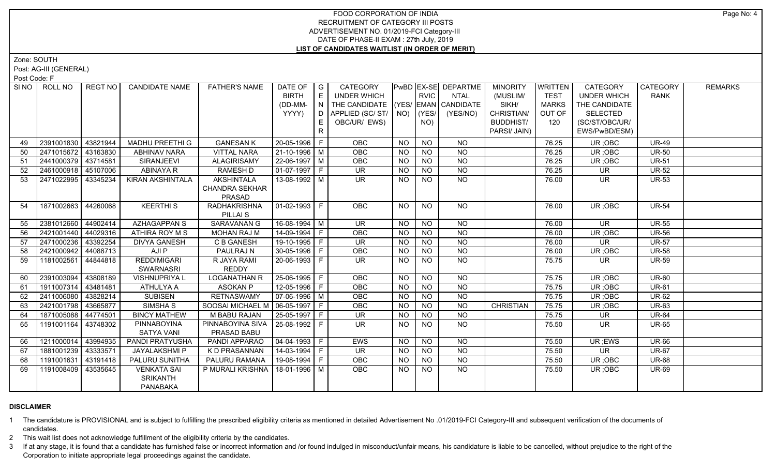Zone: SOUTH

Post: AG-III (GENERAL)

Post Code: F

|    | SINO ROLL NO          | REGT NO  | <b>CANDIDATE NAME</b> | <b>FATHER'S NAME</b>              | DATE OF   G                  |              | CATEGORY                           |           |                 | PwBD EX-SE DEPARTME | <b>MINORITY</b>  | <b>WRITTEN</b> | CATEGORY                 | <b>CATEGORY</b> | <b>REMARKS</b> |
|----|-----------------------|----------|-----------------------|-----------------------------------|------------------------------|--------------|------------------------------------|-----------|-----------------|---------------------|------------------|----------------|--------------------------|-----------------|----------------|
|    |                       |          |                       |                                   | <b>BIRTH</b>                 | E            | UNDER WHICH                        |           | <b>RVIC</b>     | <b>NTAL</b>         | (MUSLIM/         | <b>TEST</b>    | <b>UNDER WHICH</b>       | <b>RANK</b>     |                |
|    |                       |          |                       |                                   | (DD-MM-                      | N            | THE CANDIDATE (YES/ EMAN CANDIDATE |           |                 |                     | SIKH/            | <b>MARKS</b>   | THE CANDIDATE            |                 |                |
|    |                       |          |                       |                                   | YYYY)                        | D.           | APPLIED (SC/ ST/   NO)             |           | (YES/           | (YES/NO)            | CHRISTIAN/       | OUT OF         | <b>SELECTED</b>          |                 |                |
|    |                       |          |                       |                                   |                              |              | OBC/UR/ EWS)                       |           | NO)             |                     | <b>BUDDHIST/</b> | 120            | (SC/ST/OBC/UR/           |                 |                |
|    |                       |          |                       |                                   |                              | $\mathsf{R}$ |                                    |           |                 |                     | PARSI/ JAIN)     |                | EWS/PwBD/ESM)            |                 |                |
| 49 | 2391001830   43821944 |          | MADHU PREETHI G       | <b>GANESAN K</b>                  | 20-05-1996 F                 |              | <b>OBC</b>                         | NO.       | <b>NO</b>       | NO.                 |                  | 76.25          | UR; OBC                  | <b>UR-49</b>    |                |
| 50 | 2471015672 43163830   |          | <b>ABHINAV NARA</b>   | <b>VITTAL NARA</b>                | 21-10-1996 M                 |              | OBC                                | <b>NO</b> | <b>NO</b>       | N <sub>O</sub>      |                  | 76.25          | UR; OBC                  | <b>UR-50</b>    |                |
| 51 | 2441000379 43714581   |          | SIRANJEEVI            | <b>ALAGIRISAMY</b>                | 22-06-1997 M                 |              | OBC                                | <b>NO</b> | <b>NO</b>       | N <sub>O</sub>      |                  | 76.25          | UR; OBC                  | <b>UR-51</b>    |                |
| 52 | 2461000918 45107006   |          | <b>ABINAYA R</b>      | RAMESH D                          | 01-07-1997 F                 |              | <b>UR</b>                          | <b>NO</b> | <b>NO</b>       | NO                  |                  | 76.25          | UR                       | <b>UR-52</b>    |                |
| 53 | 2471022995 43345234   |          | KIRAN AKSHINTALA      | <b>AKSHINTALA</b>                 | $13-08-1992$ M               |              | UR.                                | NO.       | <b>NO</b>       | NO                  |                  | 76.00          | UR.                      | <b>UR-53</b>    |                |
|    |                       |          |                       | <b>CHANDRA SEKHAR</b>             |                              |              |                                    |           |                 |                     |                  |                |                          |                 |                |
|    |                       |          |                       | PRASAD                            |                              |              |                                    |           |                 |                     |                  |                |                          |                 |                |
| 54 | 1871002663 44260068   |          | <b>KEERTHIS</b>       | <b>RADHAKRISHNA</b>               | 01-02-1993 F                 |              | OBC                                | NO.       | <b>NO</b>       | $N$ <sup>O</sup>    |                  | 76.00          | UR : OBC                 | <b>UR-54</b>    |                |
|    |                       |          |                       | PILLAI <sub>S</sub>               |                              |              |                                    |           |                 |                     |                  |                |                          |                 |                |
| 55 | 2381012660 44902414   |          | <b>AZHAGAPPAN S</b>   | <b>SARAVANAN G</b>                | $16-08-1994$ M               |              | UR                                 | <b>NO</b> | $N$ O           | $N$ O               |                  | 76.00          | $\overline{\mathsf{UR}}$ | <b>UR-55</b>    |                |
| 56 | 2421001440 44029316   |          | ATHIRA ROY M S        | <b>MOHAN RAJ M</b>                | 14-09-1994 F                 |              | OBC                                | <b>NO</b> | <b>NO</b>       | NO                  |                  | 76.00          | UR; OBC                  | <b>UR-56</b>    |                |
| 57 | 2471000236 43392254   |          | <b>DIVYA GANESH</b>   | <b>C B GANESH</b>                 | 19-10-1995 F                 |              | UR                                 | NO        | $N$ O           | NO                  |                  | 76.00          | <b>UR</b>                | <b>UR-57</b>    |                |
| 58 | 2421000942 44088713   |          | AJI P                 | PAULRAJ N                         | 30-05-1996   F               |              | OBC                                | <b>NO</b> | $N$ O           | NO                  |                  | 76.00          | UR; OBC                  | <b>UR-58</b>    |                |
| 59 | 1181002561            | 44844818 | <b>REDDIMIGARI</b>    | R JAYA RAMI                       | 20-06-1993 F                 |              | <b>UR</b>                          | NO.       | N <sub>O</sub>  | $N$ O               |                  | 75.75          | UR.                      | <b>UR-59</b>    |                |
|    |                       |          | <b>SWARNASRI</b>      | <b>REDDY</b>                      |                              |              |                                    |           |                 |                     |                  |                |                          |                 |                |
| 60 | 2391003094            | 43808189 | <b>VISHNUPRIYA L</b>  | <b>LOGANATHAN R</b>               | 25-06-1995   F               |              | <b>OBC</b>                         | <b>NO</b> | <b>NO</b>       | <b>NO</b>           |                  | 75.75          | UR; OBC                  | <b>UR-60</b>    |                |
| 61 | 1911007314 43481481   |          | ATHULYA A             | <b>ASOKAN P</b>                   | 12-05-1996 F                 |              | OBC                                | <b>NO</b> | <b>NO</b>       | <b>NO</b>           |                  | 75.75          | UR; OBC                  | <b>UR-61</b>    |                |
| 62 | 2411006080 43828214   |          | <b>SUBISEN</b>        | <b>RETNASWAMY</b>                 | $\vert$ 07-06-1996 $\vert$ M |              | OBC                                | <b>NO</b> | <b>NO</b>       | <b>NO</b>           |                  | 75.75          | UR; OBC                  | <b>UR-62</b>    |                |
| 63 | 2421001798 43665877   |          | SIMSHA <sub>S</sub>   | SOOSAI MICHAEL M   06-05-1997   F |                              |              | OBC                                | <b>NO</b> | <b>NO</b>       | <b>NO</b>           | <b>CHRISTIAN</b> | 75.75          | UR; OBC                  | <b>UR-63</b>    |                |
| 64 | 1871005088 44774501   |          | <b>BINCY MATHEW</b>   | M BABU RAJAN                      | 25-05-1997 F                 |              | <b>UR</b>                          | <b>NO</b> | <b>NO</b>       | <b>NO</b>           |                  | 75.75          | UR                       | <b>UR-64</b>    |                |
| 65 | 1191001164 43748302   |          | PINNABOYINA           | PINNABOYINA SIVA   25-08-1992   F |                              |              | UR.                                | NO.       | <b>NO</b>       | <b>NO</b>           |                  | 75.50          | UR.                      | <b>UR-65</b>    |                |
|    |                       |          | <b>SATYA VANI</b>     | PRASAD BABU                       |                              |              |                                    |           |                 |                     |                  |                |                          |                 |                |
| 66 | 1211000014            | 43994935 | PANDI PRATYUSHA       | PANDI APPARAO                     | 04-04-1993 F                 |              | <b>EWS</b>                         | <b>NO</b> | <b>NO</b>       | <b>NO</b>           |                  | 75.50          | UR; EWS                  | <b>UR-66</b>    |                |
| 67 | 1881001239            | 43333571 | JAYALAKSHMI P         | <b>KD PRASANNAN</b>               | 14-03-1994 F                 |              | UR.                                | <b>NO</b> | <b>NO</b>       | <b>NO</b>           |                  | 75.50          | UR.                      | <b>UR-67</b>    |                |
| 68 | 1191001631            | 43191418 | PALURU SUNITHA        | PALURU RAMANA                     | 19-08-1994   F               |              | OBC                                | <b>NO</b> | $\overline{NO}$ | $\overline{NO}$     |                  | 75.50          | UR; OBC                  | <b>UR-68</b>    |                |
| 69 | 1191008409            | 43535645 | <b>VENKATA SAI</b>    | P MURALI KRISHNA   18-01-1996   M |                              |              | <b>OBC</b>                         | NO.       | <b>NO</b>       | <b>NO</b>           |                  | 75.50          | UR; OBC                  | <b>UR-69</b>    |                |
|    |                       |          | <b>SRIKANTH</b>       |                                   |                              |              |                                    |           |                 |                     |                  |                |                          |                 |                |
|    |                       |          | <b>PANABAKA</b>       |                                   |                              |              |                                    |           |                 |                     |                  |                |                          |                 |                |

### **DISCLAIMER**

1 The candidature is PROVISIONAL and is subject to fulfilling the prescribed eligibility criteria as mentioned in detailed Advertisement No .01/2019-FCI Category-III and subsequent verification of the documents of candidates.

2 This wait list does not acknowledge fulfillment of the eligibility criteria by the candidates.

3 If at any stage, it is found that a candidate has furnished false or incorrect information and /or found indulged in misconduct/unfair means, his candidature is liable to be cancelled, without prejudice to the right of t Corporation to initiate appropriate legal proceedings against the candidate.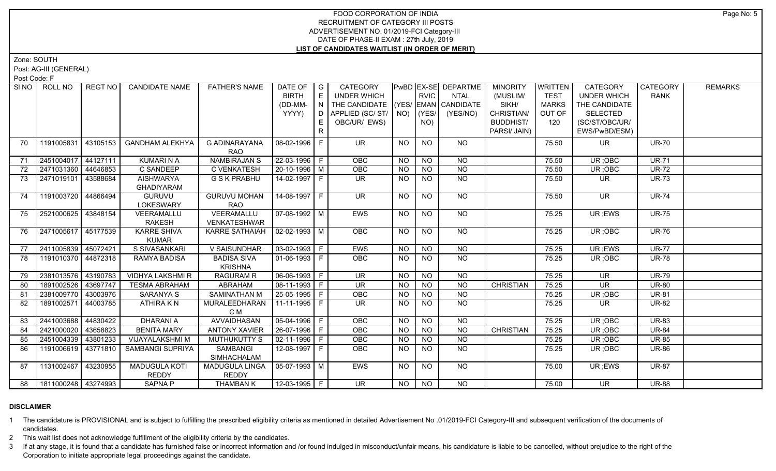Zone: SOUTH

Post: AG-III (GENERAL)

Post Code: F

| SI <sub>NO</sub> | ROLL NO             | <b>REGT NO</b> | <b>CANDIDATE NAME</b>                | <b>FATHER'S NAME</b>                 | DATE OF $ G $<br><b>BIRTH</b><br>(DD-MM-<br>YYYY) | E<br>E. | CATEGORY<br><b>UNDER WHICH</b><br>THE CANDIDATE (YES/ EMAN CANDIDATE<br>D APPLIED (SC/ ST/   NO)<br>OBC/UR/ EWS) |           | <b>RVIC</b><br>$ $ (YES/<br>NO) | PwBD EX-SE DEPARTME<br><b>NTAL</b><br>(YES/NO) | <b>MINORITY</b><br>(MUSLIM/<br>SIKH/<br>CHRISTIAN/<br><b>BUDDHIST/</b> | WRITTEN<br><b>TEST</b><br><b>MARKS</b><br>OUT OF<br>120 | <b>CATEGORY</b><br><b>UNDER WHICH</b><br>THE CANDIDATE<br><b>SELECTED</b><br>(SC/ST/OBC/UR/ | CATEGORY<br><b>RANK</b> | <b>REMARKS</b> |
|------------------|---------------------|----------------|--------------------------------------|--------------------------------------|---------------------------------------------------|---------|------------------------------------------------------------------------------------------------------------------|-----------|---------------------------------|------------------------------------------------|------------------------------------------------------------------------|---------------------------------------------------------|---------------------------------------------------------------------------------------------|-------------------------|----------------|
|                  |                     |                |                                      |                                      |                                                   | R       |                                                                                                                  |           |                                 |                                                | PARSI/ JAIN)                                                           |                                                         | EWS/PwBD/ESM)                                                                               |                         |                |
| 70               | 1191005831          | 43105153       | <b>GANDHAM ALEKHYA</b>               | <b>G ADINARAYANA</b><br><b>RAO</b>   | 08-02-1996 F                                      |         | <b>UR</b>                                                                                                        | <b>NO</b> | <b>NO</b>                       | NO                                             |                                                                        | 75.50                                                   | <b>UR</b>                                                                                   | <b>UR-70</b>            |                |
| 71               | 2451004017 44127111 |                | <b>KUMARINA</b>                      | <b>NAMBIRAJAN S</b>                  | $22 - 03 - 1996$ F                                |         | <b>OBC</b>                                                                                                       | <b>NO</b> | <b>NO</b>                       | <b>NO</b>                                      |                                                                        | 75.50                                                   | UR; OBC                                                                                     | <b>UR-71</b>            |                |
| 72               | 2471031360 44646853 |                | C SANDEEP                            | C VENKATESH                          | 20-10-1996 M                                      |         | OBC                                                                                                              | <b>NO</b> | <b>NO</b>                       | <b>NO</b>                                      |                                                                        | 75.50                                                   | UR; OBC                                                                                     | <b>UR-72</b>            |                |
| 73               | 2471019101 43588684 |                | AISHWARYA<br><b>GHADIYARAM</b>       | <b>G S K PRABHU</b>                  | 14-02-1997 F                                      |         | <b>UR</b>                                                                                                        | NO.       | <b>NO</b>                       | <b>NO</b>                                      |                                                                        | 75.50                                                   | UR.                                                                                         | <b>UR-73</b>            |                |
| 74               | 1191003720 44866494 |                | GURUVU<br><b>LOKESWARY</b>           | <b>GURUVU MOHAN</b><br><b>RAO</b>    | $14-08-1997$ F                                    |         | $\overline{\mathsf{UR}}$                                                                                         | <b>NO</b> | NO.                             | NO                                             |                                                                        | 75.50                                                   | UR.                                                                                         | <b>UR-74</b>            |                |
| 75               | 2521000625 43848154 |                | VEERAMALLU<br><b>RAKESH</b>          | VEERAMALLU<br>VENKATESHWAR           | $\sqrt{07-08-1992}$ M                             |         | EWS                                                                                                              | NO.       | NO.                             | <b>NO</b>                                      |                                                                        | 75.25                                                   | UR; EWS                                                                                     | <b>UR-75</b>            |                |
| 76               | 2471005617 45177539 |                | <b>KARRE SHIVA</b><br><b>KUMAR</b>   | KARRE SATHAIAH                       | $\vert$ 02-02-1993 $\vert$ M                      |         | OBC                                                                                                              | <b>NO</b> | <b>NO</b>                       | <b>NO</b>                                      |                                                                        | 75.25                                                   | UR; OBC                                                                                     | <b>UR-76</b>            |                |
| 77               | 2411005839 45072421 |                | S SIVASANKARI                        | V SAISUNDHAR                         | $\vert 03 - 02 - 1993 \vert$ F                    |         | <b>EWS</b>                                                                                                       | NO        | $N$ O                           | $N$ O                                          |                                                                        | 75.25                                                   | UR; EWS                                                                                     | <b>UR-77</b>            |                |
| 78               | 1191010370 44872318 |                | RAMYA BADISA                         | <b>BADISA SIVA</b><br><b>KRISHNA</b> | $\boxed{01-06-1993}$ F                            |         | <b>OBC</b>                                                                                                       | <b>NO</b> | <b>NO</b>                       | <b>NO</b>                                      |                                                                        | 75.25                                                   | UR; OBC                                                                                     | <b>UR-78</b>            |                |
| 79               | 2381013576 43190783 |                | <b>VIDHYA LAKSHMI R</b>              | <b>RAGURAM R</b>                     | 06-06-1993 F                                      |         | <b>UR</b>                                                                                                        | <b>NO</b> | <b>NO</b>                       | <b>NO</b>                                      |                                                                        | 75.25                                                   | <b>UR</b>                                                                                   | <b>UR-79</b>            |                |
| 80               | 1891002526 43697747 |                | <b>TESMA ABRAHAM</b>                 | ABRAHAM                              | 08-11-1993 F                                      |         | <b>UR</b>                                                                                                        | <b>NO</b> | <b>NO</b>                       | <b>NO</b>                                      | <b>CHRISTIAN</b>                                                       | 75.25                                                   | <b>UR</b>                                                                                   | <b>UR-80</b>            |                |
| 81               | 2381009770 43003976 |                | SARANYA S                            | <b>SAMINATHAN M</b>                  | 25-05-1995 F                                      |         | OBC                                                                                                              | <b>NO</b> | <b>NO</b>                       | <b>NO</b>                                      |                                                                        | 75.25                                                   | UR; OBC                                                                                     | <b>UR-81</b>            |                |
| 82               | 1891002571 44003785 |                | ATHIRA K N                           | MURALEEDHARAN<br>C M                 | $11-11-1995$ F                                    |         | <b>UR</b>                                                                                                        | <b>NO</b> | <b>NO</b>                       | <b>NO</b>                                      |                                                                        | 75.25                                                   | <b>UR</b>                                                                                   | <b>UR-82</b>            |                |
| 83               | 2441003688          | 44830422       | <b>DHARANI A</b>                     | AVVAIDHASAN                          | 05-04-1996 F                                      |         | OBC                                                                                                              | <b>NO</b> | <b>NO</b>                       | NO                                             |                                                                        | 75.25                                                   | UR; OBC                                                                                     | <b>UR-83</b>            |                |
| 84               | 2421000020          | 43658823       | <b>BENITA MARY</b>                   | <b>ANTONY XAVIER</b>                 | $26-07-1996$ F                                    |         | OBC                                                                                                              | <b>NO</b> | <b>NO</b>                       | $\overline{NO}$                                | <b>CHRISTIAN</b>                                                       | 75.25                                                   | UR; OBC                                                                                     | <b>UR-84</b>            |                |
| 85               | 2451004339 43801233 |                | VIJAYALAKSHMI M                      | MUTHUKUTTY S                         | $\vert 02 - 11 - 1996 \vert F \vert$              |         | OBC                                                                                                              | <b>NO</b> | <b>NO</b>                       | <b>NO</b>                                      |                                                                        | 75.25                                                   | UR; OBC                                                                                     | <b>UR-85</b>            |                |
| 86               | 1191006619 43771810 |                | SAMBANGI SUPRIYA                     | <b>SAMBANGI</b><br>SIMHACHALAM       | $12-08-1997$ F                                    |         | OBC                                                                                                              | <b>NO</b> | <b>NO</b>                       | <b>NO</b>                                      |                                                                        | 75.25                                                   | UR; OBC                                                                                     | <b>UR-86</b>            |                |
| 87               | 1131002467 43230955 |                | <b>MADUGULA KOTI</b><br><b>REDDY</b> | MADUGULA LINGA<br><b>REDDY</b>       | $\sqrt{05-07-1993}$ M                             |         | EWS                                                                                                              | <b>NO</b> | <b>NO</b>                       | <b>NO</b>                                      |                                                                        | 75.00                                                   | UR ;EWS                                                                                     | <b>UR-87</b>            |                |
| 88               | 1811000248 43274993 |                | SAPNA P                              | <b>THAMBAN K</b>                     | $12-03-1995$ F                                    |         | $\overline{\mathsf{UR}}$                                                                                         | NO.       | <b>NO</b>                       | N <sub>O</sub>                                 |                                                                        | 75.00                                                   | $\overline{\mathsf{UR}}$                                                                    | <b>UR-88</b>            |                |

## **DISCLAIMER**

1 The candidature is PROVISIONAL and is subject to fulfilling the prescribed eligibility criteria as mentioned in detailed Advertisement No .01/2019-FCI Category-III and subsequent verification of the documents of candidates.

2 This wait list does not acknowledge fulfillment of the eligibility criteria by the candidates.

3 If at any stage, it is found that a candidate has furnished false or incorrect information and /or found indulged in misconduct/unfair means, his candidature is liable to be cancelled, without prejudice to the right of t Corporation to initiate appropriate legal proceedings against the candidate.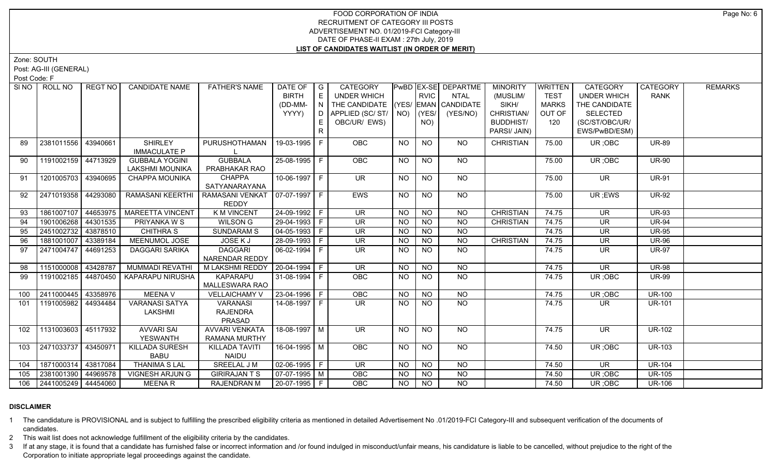Zone: SOUTH

Post: AG-III (GENERAL)

Post Code: F

| SI NO I | ROLL NO                 | REGT NO  | <b>CANDIDATE NAME</b>                           | <b>FATHER'S NAME</b>                             | DATE OF<br><b>BIRTH</b><br>(DD-MM- | $\overline{\phantom{a}}$ G<br>E<br>N | <b>CATEGORY</b><br><b>UNDER WHICH</b><br>THE CANDIDATE (YES/ EMAN CANDIDATE |           | <b>RVIC</b>        | PwBD EX-SE DEPARTME<br><b>NTAL</b> | <b>MINORITY</b><br>(MUSLIM/<br>SIKH/ | <b>WRITTEN</b><br><b>TEST</b><br><b>MARKS</b> | <b>CATEGORY</b><br><b>UNDER WHICH</b><br>THE CANDIDATE | <b>CATEGORY</b><br><b>RANK</b> | <b>REMARKS</b> |
|---------|-------------------------|----------|-------------------------------------------------|--------------------------------------------------|------------------------------------|--------------------------------------|-----------------------------------------------------------------------------|-----------|--------------------|------------------------------------|--------------------------------------|-----------------------------------------------|--------------------------------------------------------|--------------------------------|----------------|
|         |                         |          |                                                 |                                                  | YYYY)                              | D<br>E.                              | APPLIED (SC/ST/<br>OBC/UR/ EWS)                                             |           | $NO)$ (YES/<br>NO) | (YES/NO)                           | CHRISTIAN/<br><b>BUDDHIST/</b>       | OUT OF<br>120                                 | <b>SELECTED</b><br>(SC/ST/OBC/UR/                      |                                |                |
|         |                         |          |                                                 |                                                  |                                    | R.                                   |                                                                             |           |                    |                                    | PARSI/ JAIN)                         |                                               | EWS/PwBD/ESM)                                          |                                |                |
| 89      | 2381011556              | 43940661 | <b>SHIRLEY</b><br><b>IMMACULATE P</b>           | PURUSHOTHAMAN                                    | 19-03-1995 F                       |                                      | <b>OBC</b>                                                                  | NO        | <b>NO</b>          | <b>NO</b>                          | <b>CHRISTIAN</b>                     | 75.00                                         | UR; OBC                                                | <b>UR-89</b>                   |                |
| 90      | 1191002159 44713929     |          | <b>GUBBALA YOGINI</b><br><b>LAKSHMI MOUNIKA</b> | <b>GUBBALA</b><br>PRABHAKAR RAO                  | 25-08-1995   F                     |                                      | OBC                                                                         | <b>NO</b> | <b>NO</b>          | <b>NO</b>                          |                                      | 75.00                                         | UR; OBC                                                | <b>UR-90</b>                   |                |
| 91      | 1201005703 43940695     |          | <b>CHAPPA MOUNIKA</b>                           | <b>CHAPPA</b><br>SATYANARAYANA                   | 10-06-1997   F                     |                                      | $\overline{\mathsf{UR}}$                                                    | NO.       | <b>NO</b>          | $\overline{NQ}$                    |                                      | 75.00                                         | $\overline{\mathsf{UR}}$                               | <b>UR-91</b>                   |                |
| 92      | 2471019358 44293080     |          | RAMASANI KEERTHI                                | RAMASANI VENKAT   07-07-1997   F<br><b>REDDY</b> |                                    |                                      | EWS                                                                         | <b>NO</b> | <b>NO</b>          | NO                                 |                                      | 75.00                                         | UR; EWS                                                | <b>UR-92</b>                   |                |
| 93      | 1861007107              | 44653975 | <b>MAREETTA VINCENT</b>                         | <b>K M VINCENT</b>                               | 24-09-1992 F                       |                                      | <b>UR</b>                                                                   | <b>NO</b> | <b>NO</b>          | <b>NO</b>                          | <b>CHRISTIAN</b>                     | 74.75                                         | <b>UR</b>                                              | <b>UR-93</b>                   |                |
| 94      | 1901006268 44301535     |          | PRIYANKA W S                                    | <b>WILSON G</b>                                  | 29-04-1993 F                       |                                      | <b>UR</b>                                                                   | <b>NO</b> | <b>NO</b>          | $N$ O                              | <b>CHRISTIAN</b>                     | 74.75                                         | <b>UR</b>                                              | <b>UR-94</b>                   |                |
| 95      | 2451002732              | 43878510 | <b>CHITHRA S</b>                                | <b>SUNDARAM S</b>                                | $04-05-1993$   F                   |                                      | <b>UR</b>                                                                   | <b>NO</b> | <b>NO</b>          | <b>NO</b>                          |                                      | 74.75                                         | <b>UR</b>                                              | <b>UR-95</b>                   |                |
| 96      | 1881001007              | 43389184 | MEENUMOL JOSE                                   | JOSE K J                                         | 28-09-1993 F                       |                                      | $\overline{\mathsf{UR}}$                                                    | <b>NO</b> | $N$ O              | $N$ O                              | <b>CHRISTIAN</b>                     | 74.75                                         | $\overline{\mathsf{UR}}$                               | <b>UR-96</b>                   |                |
| 97      | 2471004747              | 44691253 | DAGGARI SARIKA                                  | <b>DAGGARI</b><br>NARENDAR REDDY                 | 06-02-1994 F                       |                                      | UR.                                                                         | <b>NO</b> | <b>NO</b>          | N <sub>O</sub>                     |                                      | 74.75                                         | <b>UR</b>                                              | <b>UR-97</b>                   |                |
| 98      | 1151000008              | 43428787 | <b>MUMMADI REVATHI</b>                          | M LAKSHMI REDDY   20-04-1994   F                 |                                    |                                      | UR                                                                          | <b>NO</b> | <b>NO</b>          | $N$ O                              |                                      | 74.75                                         | $\overline{\mathsf{UR}}$                               | <b>UR-98</b>                   |                |
| 99      | 1191002185              | 44870450 | KAPARAPU NIRUSHA                                | <b>KAPARAPU</b><br>MALLESWARA RAO                | $31-08-1994$ F                     |                                      | OBC                                                                         | <b>NO</b> | NO                 | N <sub>O</sub>                     |                                      | 74.75                                         | UR; OBC                                                | <b>UR-99</b>                   |                |
| 100     | 2411000445              | 43358976 | <b>MEENA V</b>                                  | <b>VELLAICHAMY V</b>                             | 23-04-1996 F                       |                                      | OBC                                                                         | <b>NO</b> | <b>NO</b>          | <b>NO</b>                          |                                      | 74.75                                         | UR; OBC                                                | <b>UR-100</b>                  |                |
| 101     | 1191005982 44934484     |          | <b>VARANASI SATYA</b><br>LAKSHMI                | VARANASI<br><b>RAJENDRA</b><br>PRASAD            | 14-08-1997 F                       |                                      | UR.                                                                         | NO.       | <b>NO</b>          | <b>NO</b>                          |                                      | 74.75                                         | UR.                                                    | <b>UR-101</b>                  |                |
| 102     | 1131003603 45117932     |          | <b>AVVARI SAI</b><br>YESWANTH                   | AVVARI VENKATA<br>RAMANA MURTHY                  | 18-08-1997   M                     |                                      | <b>UR</b>                                                                   | <b>NO</b> | NO                 | <b>NO</b>                          |                                      | 74.75                                         | <b>UR</b>                                              | <b>UR-102</b>                  |                |
| 103     | 2471033737              | 43450971 | KILLADA SURESH<br><b>BABU</b>                   | KILLADA TAVITI<br><b>NAIDU</b>                   | 16-04-1995   M                     |                                      | <b>OBC</b>                                                                  | NO        | <b>NO</b>          | <b>NO</b>                          |                                      | 74.50                                         | UR; OBC                                                | <b>UR-103</b>                  |                |
| 104     | 1871000314 43817084     |          | <b>THANIMA S LAL</b>                            | <b>SREELAL JM</b>                                | $02-06-1995$ F                     |                                      | $\overline{\mathsf{UR}}$                                                    | <b>NO</b> | <b>NO</b>          | $\overline{NQ}$                    |                                      | 74.50                                         | $\overline{\mathsf{UR}}$                               | $\overline{\text{UR}}$ -104    |                |
| 105     | 2381001390 44969578     |          | <b>VIGNESH ARJUNG</b>                           | <b>GIRIRAJANTS</b>                               | $07-07-1995$ M                     |                                      | <b>OBC</b>                                                                  | <b>NO</b> | <b>NO</b>          | <b>NO</b>                          |                                      | 74.50                                         | UR; OBC                                                | <b>UR-105</b>                  |                |
|         | 106 2441005249 44454060 |          | <b>MEENAR</b>                                   | RAJENDRAN M                                      | 20-07-1995 F                       |                                      | <b>OBC</b>                                                                  | <b>NO</b> | N <sub>O</sub>     | N <sub>O</sub>                     |                                      | 74.50                                         | UR; OBC                                                | <b>UR-106</b>                  |                |

## **DISCLAIMER**

1 The candidature is PROVISIONAL and is subject to fulfilling the prescribed eligibility criteria as mentioned in detailed Advertisement No .01/2019-FCI Category-III and subsequent verification of the documents of candidates.

2 This wait list does not acknowledge fulfillment of the eligibility criteria by the candidates.

3 If at any stage, it is found that a candidate has furnished false or incorrect information and /or found indulged in misconduct/unfair means, his candidature is liable to be cancelled, without prejudice to the right of t Corporation to initiate appropriate legal proceedings against the candidate.